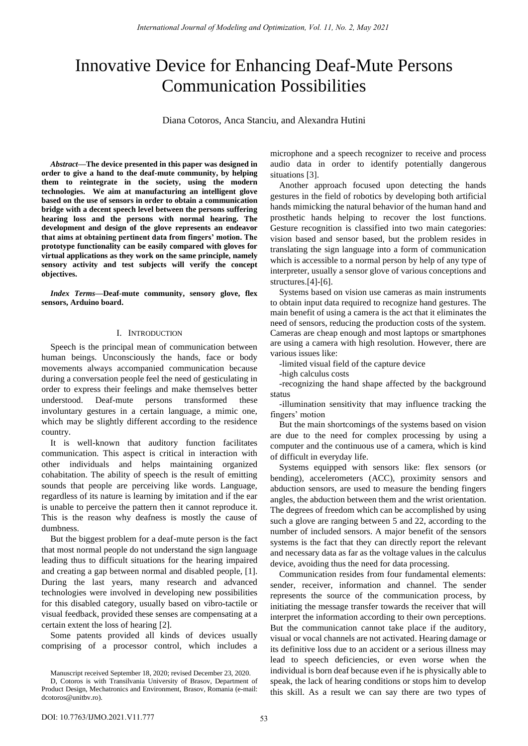# Innovative Device for Enhancing Deaf-Mute Persons Communication Possibilities

Diana Cotoros, Anca Stanciu, and Alexandra Hutini

*Abstract***—The device presented in this paper was designed in order to give a hand to the deaf-mute community, by helping them to reintegrate in the society, using the modern technologies. We aim at manufacturing an intelligent glove based on the use of sensors in order to obtain a communication bridge with a decent speech level between the persons suffering hearing loss and the persons with normal hearing. The development and design of the glove represents an endeavor that aims at obtaining pertinent data from fingers' motion. The prototype functionality can be easily compared with gloves for virtual applications as they work on the same principle, namely sensory activity and test subjects will verify the concept objectives.** 

*Index Terms***—Deaf-mute community, sensory glove, flex sensors, Arduino board.** 

### I. INTRODUCTION

Speech is the principal mean of communication between human beings. Unconsciously the hands, face or body movements always accompanied communication because during a conversation people feel the need of gesticulating in order to express their feelings and make themselves better understood. Deaf-mute persons transformed these involuntary gestures in a certain language, a mimic one, which may be slightly different according to the residence country.

It is well-known that auditory function facilitates communication. This aspect is critical in interaction with other individuals and helps maintaining organized cohabitation. The ability of speech is the result of emitting sounds that people are perceiving like words. Language, regardless of its nature is learning by imitation and if the ear is unable to perceive the pattern then it cannot reproduce it. This is the reason why deafness is mostly the cause of dumbness.

But the biggest problem for a deaf-mute person is the fact that most normal people do not understand the sign language leading thus to difficult situations for the hearing impaired and creating a gap between normal and disabled people, [1]. During the last years, many research and advanced technologies were involved in developing new possibilities for this disabled category, usually based on vibro-tactile or visual feedback, provided these senses are compensating at a certain extent the loss of hearing [2].

Some patents provided all kinds of devices usually comprising of a processor control, which includes a microphone and a speech recognizer to receive and process audio data in order to identify potentially dangerous situations [3].

Another approach focused upon detecting the hands gestures in the field of robotics by developing both artificial hands mimicking the natural behavior of the human hand and prosthetic hands helping to recover the lost functions. Gesture recognition is classified into two main categories: vision based and sensor based, but the problem resides in translating the sign language into a form of communication which is accessible to a normal person by help of any type of interpreter, usually a sensor glove of various conceptions and structures.[4]-[6].

Systems based on vision use cameras as main instruments to obtain input data required to recognize hand gestures. The main benefit of using a camera is the act that it eliminates the need of sensors, reducing the production costs of the system. Cameras are cheap enough and most laptops or smartphones are using a camera with high resolution. However, there are various issues like:

-limited visual field of the capture device

-high calculus costs

-recognizing the hand shape affected by the background status

-illumination sensitivity that may influence tracking the fingers' motion

But the main shortcomings of the systems based on vision are due to the need for complex processing by using a computer and the continuous use of a camera, which is kind of difficult in everyday life.

Systems equipped with sensors like: flex sensors (or bending), accelerometers (ACC), proximity sensors and abduction sensors, are used to measure the bending fingers angles, the abduction between them and the wrist orientation. The degrees of freedom which can be accomplished by using such a glove are ranging between 5 and 22, according to the number of included sensors. A major benefit of the sensors systems is the fact that they can directly report the relevant and necessary data as far as the voltage values in the calculus device, avoiding thus the need for data processing.

Communication resides from four fundamental elements: sender, receiver, information and channel. The sender represents the source of the communication process, by initiating the message transfer towards the receiver that will interpret the information according to their own perceptions. But the communication cannot take place if the auditory, visual or vocal channels are not activated. Hearing damage or its definitive loss due to an accident or a serious illness may lead to speech deficiencies, or even worse when the individual is born deaf because even if he is physically able to speak, the lack of hearing conditions or stops him to develop this skill. As a result we can say there are two types of

Manuscript received September 18, 2020; revised December 23, 2020.

D, Cotoros is with Transilvania University of Brasov, Department of Product Design, Mechatronics and Environment, Brasov, Romania (e-mail: dcotoros@unitbv.ro).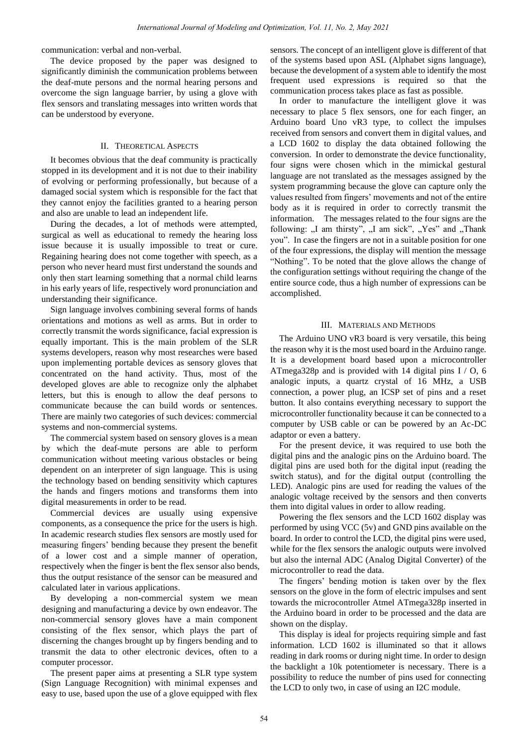communication: verbal and non-verbal.

The device proposed by the paper was designed to significantly diminish the communication problems between the deaf-mute persons and the normal hearing persons and overcome the sign language barrier, by using a glove with flex sensors and translating messages into written words that can be understood by everyone.

## II. THEORETICAL ASPECTS

It becomes obvious that the deaf community is practically stopped in its development and it is not due to their inability of evolving or performing professionally, but because of a damaged social system which is responsible for the fact that they cannot enjoy the facilities granted to a hearing person and also are unable to lead an independent life.

During the decades, a lot of methods were attempted, surgical as well as educational to remedy the hearing loss issue because it is usually impossible to treat or cure. Regaining hearing does not come together with speech, as a person who never heard must first understand the sounds and only then start learning something that a normal child learns in his early years of life, respectively word pronunciation and understanding their significance.

Sign language involves combining several forms of hands orientations and motions as well as arms. But in order to correctly transmit the words significance, facial expression is equally important. This is the main problem of the SLR systems developers, reason why most researches were based upon implementing portable devices as sensory gloves that concentrated on the hand activity. Thus, most of the developed gloves are able to recognize only the alphabet letters, but this is enough to allow the deaf persons to communicate because the can build words or sentences. There are mainly two categories of such devices: commercial systems and non-commercial systems.

The commercial system based on sensory gloves is a mean by which the deaf-mute persons are able to perform communication without meeting various obstacles or being dependent on an interpreter of sign language. This is using the technology based on bending sensitivity which captures the hands and fingers motions and transforms them into digital measurements in order to be read.

Commercial devices are usually using expensive components, as a consequence the price for the users is high. In academic research studies flex sensors are mostly used for measuring fingers' bending because they present the benefit of a lower cost and a simple manner of operation, respectively when the finger is bent the flex sensor also bends, thus the output resistance of the sensor can be measured and calculated later in various applications.

By developing a non-commercial system we mean designing and manufacturing a device by own endeavor. The non-commercial sensory gloves have a main component consisting of the flex sensor, which plays the part of discerning the changes brought up by fingers bending and to transmit the data to other electronic devices, often to a computer processor.

The present paper aims at presenting a SLR type system (Sign Language Recognition) with minimal expenses and easy to use, based upon the use of a glove equipped with flex sensors. The concept of an intelligent glove is different of that of the systems based upon ASL (Alphabet signs language), because the development of a system able to identify the most frequent used expressions is required so that the communication process takes place as fast as possible.

In order to manufacture the intelligent glove it was necessary to place 5 flex sensors, one for each finger, an Arduino board Uno vR3 type, to collect the impulses received from sensors and convert them in digital values, and a LCD 1602 to display the data obtained following the conversion. In order to demonstrate the device functionality, four signs were chosen which in the mimickal gestural language are not translated as the messages assigned by the system programming because the glove can capture only the values resulted from fingers' movements and not of the entire body as it is required in order to correctly transmit the information. The messages related to the four signs are the following: "I am thirsty", "I am sick", "Yes" and "Thank you". In case the fingers are not in a suitable position for one of the four expressions, the display will mention the message "Nothing". To be noted that the glove allows the change of the configuration settings without requiring the change of the entire source code, thus a high number of expressions can be accomplished.

#### III. MATERIALS AND METHODS

The Arduino UNO vR3 board is very versatile, this being the reason why it is the most used board in the Arduino range. It is a development board based upon a microcontroller ATmega328p and is provided with 14 digital pins I / O, 6 analogic inputs, a quartz crystal of 16 MHz, a USB connection, a power plug, an ICSP set of pins and a reset button. It also contains everything necessary to support the microcontroller functionality because it can be connected to a computer by USB cable or can be powered by an Ac-DC adaptor or even a battery.

For the present device, it was required to use both the digital pins and the analogic pins on the Arduino board. The digital pins are used both for the digital input (reading the switch status), and for the digital output (controlling the LED). Analogic pins are used for reading the values of the analogic voltage received by the sensors and then converts them into digital values in order to allow reading.

Powering the flex sensors and the LCD 1602 display was performed by using VCC (5v) and GND pins available on the board. In order to control the LCD, the digital pins were used, while for the flex sensors the analogic outputs were involved but also the internal ADC (Analog Digital Converter) of the microcontroller to read the data.

The fingers' bending motion is taken over by the flex sensors on the glove in the form of electric impulses and sent towards the microcontroller Atmel ATmega328p inserted in the Arduino board in order to be processed and the data are shown on the display.

This display is ideal for projects requiring simple and fast information. LCD 1602 is illuminated so that it allows reading in dark rooms or during night time. In order to design the backlight a 10k potentiometer is necessary. There is a possibility to reduce the number of pins used for connecting the LCD to only two, in case of using an I2C module.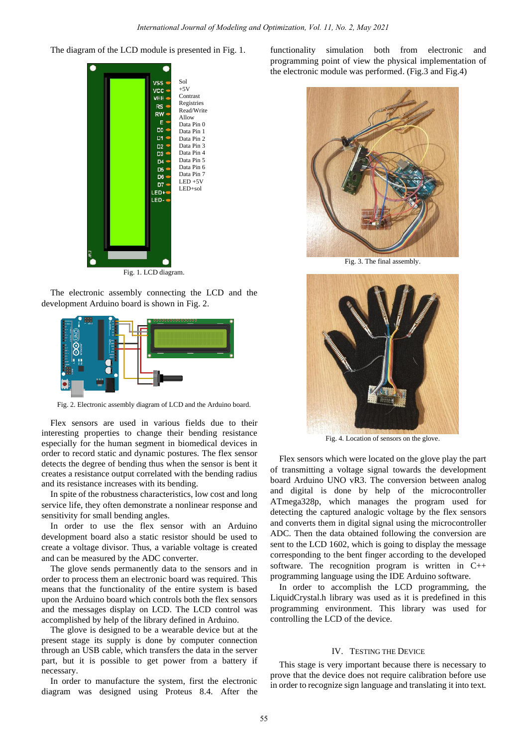The diagram of the LCD module is presented in Fig. 1.



Fig. 1. LCD diagram.

The electronic assembly connecting the LCD and the development Arduino board is shown in Fig. 2.



Fig. 2. Electronic assembly diagram of LCD and the Arduino board.

Flex sensors are used in various fields due to their interesting properties to change their bending resistance especially for the human segment in biomedical devices in order to record static and dynamic postures. The flex sensor detects the degree of bending thus when the sensor is bent it creates a resistance output correlated with the bending radius and its resistance increases with its bending.

In spite of the robustness characteristics, low cost and long service life, they often demonstrate a nonlinear response and sensitivity for small bending angles.

In order to use the flex sensor with an Arduino development board also a static resistor should be used to create a voltage divisor. Thus, a variable voltage is created and can be measured by the ADC converter.

The glove sends permanently data to the sensors and in order to process them an electronic board was required. This means that the functionality of the entire system is based upon the Arduino board which controls both the flex sensors and the messages display on LCD. The LCD control was accomplished by help of the library defined in Arduino.

The glove is designed to be a wearable device but at the present stage its supply is done by computer connection through an USB cable, which transfers the data in the server part, but it is possible to get power from a battery if necessary.

In order to manufacture the system, first the electronic diagram was designed using Proteus 8.4. After the functionality simulation both from electronic and programming point of view the physical implementation of the electronic module was performed. (Fig.3 and Fig.4)



Fig. 3. The final assembly.



Fig. 4. Location of sensors on the glove.

Flex sensors which were located on the glove play the part of transmitting a voltage signal towards the development board Arduino UNO vR3. The conversion between analog and digital is done by help of the microcontroller ATmega328p, which manages the program used for detecting the captured analogic voltage by the flex sensors and converts them in digital signal using the microcontroller ADC. Then the data obtained following the conversion are sent to the LCD 1602, which is going to display the message corresponding to the bent finger according to the developed software. The recognition program is written in  $C++$ programming language using the IDE Arduino software.

In order to accomplish the LCD programming, the LiquidCrystal.h library was used as it is predefined in this programming environment. This library was used for controlling the LCD of the device.

#### IV. TESTING THE DEVICE

This stage is very important because there is necessary to prove that the device does not require calibration before use in order to recognize sign language and translating it into text.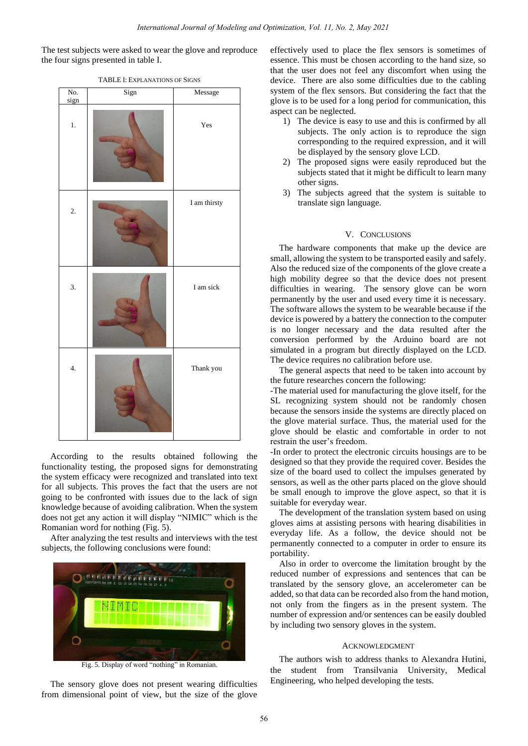The test subjects were asked to wear the glove and reproduce the four signs presented in table I.

| No.<br>sign      | Sign | Message                |
|------------------|------|------------------------|
| $1.$             |      | Yes                    |
| 2.               |      | $\mathbf I$ am thirsty |
| 3.               |      | I am sick              |
| $\overline{4}$ . |      | Thank you              |

TABLE I: EXPLANATIONS OF SIGNS

According to the results obtained following the functionality testing, the proposed signs for demonstrating the system efficacy were recognized and translated into text for all subjects. This proves the fact that the users are not going to be confronted with issues due to the lack of sign knowledge because of avoiding calibration. When the system does not get any action it will display "NIMIC" which is the Romanian word for nothing (Fig. 5).

After analyzing the test results and interviews with the test subjects, the following conclusions were found:



Fig. 5. Display of word "nothing" in Romanian.

The sensory glove does not present wearing difficulties from dimensional point of view, but the size of the glove

effectively used to place the flex sensors is sometimes of essence. This must be chosen according to the hand size, so that the user does not feel any discomfort when using the device. There are also some difficulties due to the cabling system of the flex sensors. But considering the fact that the glove is to be used for a long period for communication, this aspect can be neglected.

- 1) The device is easy to use and this is confirmed by all subjects. The only action is to reproduce the sign corresponding to the required expression, and it will be displayed by the sensory glove LCD.
- 2) The proposed signs were easily reproduced but the subjects stated that it might be difficult to learn many other signs.
- 3) The subjects agreed that the system is suitable to translate sign language.

#### V. CONCLUSIONS

The hardware components that make up the device are small, allowing the system to be transported easily and safely. Also the reduced size of the components of the glove create a high mobility degree so that the device does not present difficulties in wearing. The sensory glove can be worn permanently by the user and used every time it is necessary. The software allows the system to be wearable because if the device is powered by a battery the connection to the computer is no longer necessary and the data resulted after the conversion performed by the Arduino board are not simulated in a program but directly displayed on the LCD. The device requires no calibration before use.

The general aspects that need to be taken into account by the future researches concern the following:

-The material used for manufacturing the glove itself, for the SL recognizing system should not be randomly chosen because the sensors inside the systems are directly placed on the glove material surface. Thus, the material used for the glove should be elastic and comfortable in order to not restrain the user's freedom.

-In order to protect the electronic circuits housings are to be designed so that they provide the required cover. Besides the size of the board used to collect the impulses generated by sensors, as well as the other parts placed on the glove should be small enough to improve the glove aspect, so that it is suitable for everyday wear.

The development of the translation system based on using gloves aims at assisting persons with hearing disabilities in everyday life. As a follow, the device should not be permanently connected to a computer in order to ensure its portability.

Also in order to overcome the limitation brought by the reduced number of expressions and sentences that can be translated by the sensory glove, an accelerometer can be added, so that data can be recorded also from the hand motion, not only from the fingers as in the present system. The number of expression and/or sentences can be easily doubled by including two sensory gloves in the system.

#### ACKNOWLEDGMENT

The authors wish to address thanks to Alexandra Hutini, the student from Transilvania University, Medical Engineering, who helped developing the tests.